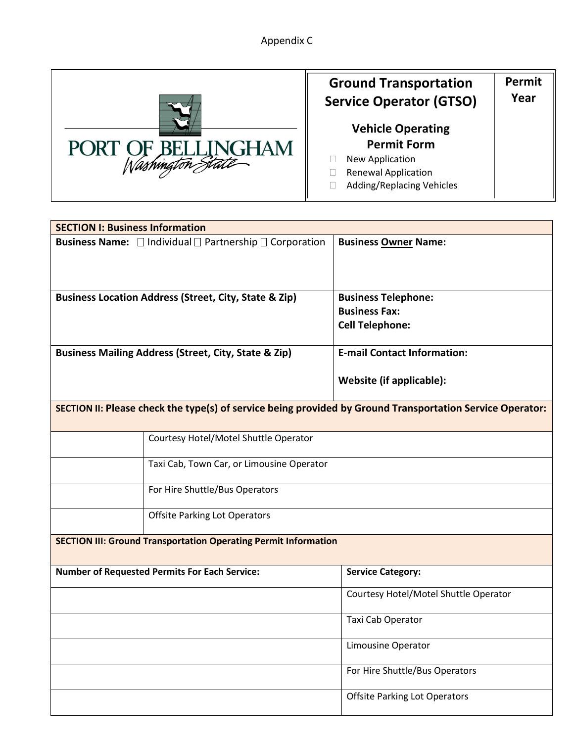Appendix C



## **Ground Transportation Service Operator (GTSO) Vehicle Operating Permit Form** New Application Renewal Application Adding/Replacing Vehicles **Permit Year**

| <b>SECTION I: Business Information</b>                                                                    |                                                                               |                                                                              |  |  |  |  |
|-----------------------------------------------------------------------------------------------------------|-------------------------------------------------------------------------------|------------------------------------------------------------------------------|--|--|--|--|
|                                                                                                           | <b>Business Name:</b> $\Box$ Individual $\Box$ Partnership $\Box$ Corporation | <b>Business Owner Name:</b>                                                  |  |  |  |  |
|                                                                                                           | <b>Business Location Address (Street, City, State &amp; Zip)</b>              | <b>Business Telephone:</b><br><b>Business Fax:</b><br><b>Cell Telephone:</b> |  |  |  |  |
|                                                                                                           | <b>Business Mailing Address (Street, City, State &amp; Zip)</b>               | <b>E-mail Contact Information:</b>                                           |  |  |  |  |
|                                                                                                           |                                                                               | Website (if applicable):                                                     |  |  |  |  |
| SECTION II: Please check the type(s) of service being provided by Ground Transportation Service Operator: |                                                                               |                                                                              |  |  |  |  |
|                                                                                                           | Courtesy Hotel/Motel Shuttle Operator                                         |                                                                              |  |  |  |  |
| Taxi Cab, Town Car, or Limousine Operator                                                                 |                                                                               |                                                                              |  |  |  |  |
|                                                                                                           | For Hire Shuttle/Bus Operators                                                |                                                                              |  |  |  |  |
|                                                                                                           | <b>Offsite Parking Lot Operators</b>                                          |                                                                              |  |  |  |  |
| <b>SECTION III: Ground Transportation Operating Permit Information</b>                                    |                                                                               |                                                                              |  |  |  |  |
|                                                                                                           | <b>Number of Requested Permits For Each Service:</b>                          | <b>Service Category:</b>                                                     |  |  |  |  |
|                                                                                                           |                                                                               | Courtesy Hotel/Motel Shuttle Operator                                        |  |  |  |  |
|                                                                                                           |                                                                               | Taxi Cab Operator                                                            |  |  |  |  |
|                                                                                                           |                                                                               | Limousine Operator                                                           |  |  |  |  |
|                                                                                                           |                                                                               | For Hire Shuttle/Bus Operators                                               |  |  |  |  |
|                                                                                                           |                                                                               | <b>Offsite Parking Lot Operators</b>                                         |  |  |  |  |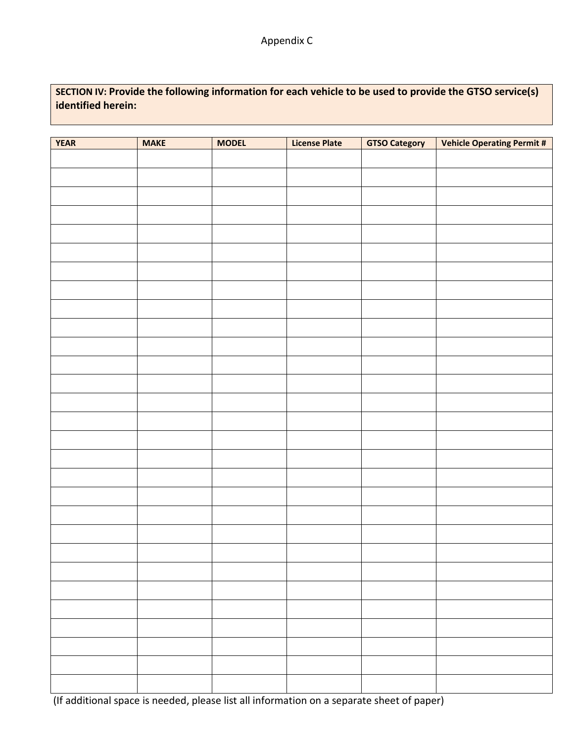**SECTION IV: Provide the following information for each vehicle to be used to provide the GTSO service(s) identified herein:**

| <b>YEAR</b> | <b>MAKE</b> | <b>MODEL</b> | <b>License Plate</b> | <b>GTSO Category</b> | <b>Vehicle Operating Permit #</b> |
|-------------|-------------|--------------|----------------------|----------------------|-----------------------------------|
|             |             |              |                      |                      |                                   |
|             |             |              |                      |                      |                                   |
|             |             |              |                      |                      |                                   |
|             |             |              |                      |                      |                                   |
|             |             |              |                      |                      |                                   |
|             |             |              |                      |                      |                                   |
|             |             |              |                      |                      |                                   |
|             |             |              |                      |                      |                                   |
|             |             |              |                      |                      |                                   |
|             |             |              |                      |                      |                                   |
|             |             |              |                      |                      |                                   |
|             |             |              |                      |                      |                                   |
|             |             |              |                      |                      |                                   |
|             |             |              |                      |                      |                                   |
|             |             |              |                      |                      |                                   |
|             |             |              |                      |                      |                                   |
|             |             |              |                      |                      |                                   |
|             |             |              |                      |                      |                                   |
|             |             |              |                      |                      |                                   |
|             |             |              |                      |                      |                                   |
|             |             |              |                      |                      |                                   |
|             |             |              |                      |                      |                                   |
|             |             |              |                      |                      |                                   |
|             |             |              |                      |                      |                                   |
|             |             |              |                      |                      |                                   |
|             |             |              |                      |                      |                                   |
|             |             |              |                      |                      |                                   |
|             |             |              |                      |                      |                                   |
|             |             |              |                      |                      |                                   |

(If additional space is needed, please list all information on a separate sheet of paper)